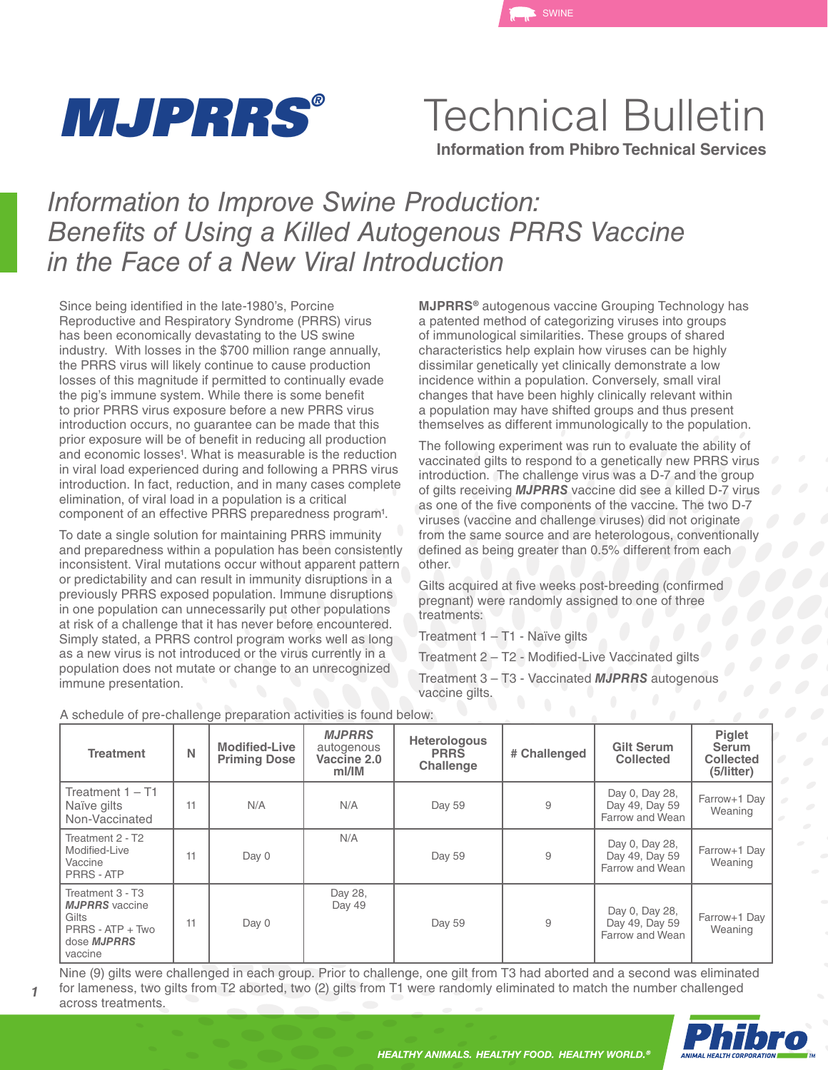

Technical Bulletin

**Information from Phibro Technical Services**

## *Information to Improve Swine Production: Benefits of Using a Killed Autogenous PRRS Vaccine in the Face of a New Viral Introduction*

Since being identified in the late-1980's, Porcine Reproductive and Respiratory Syndrome (PRRS) virus has been economically devastating to the US swine industry. With losses in the \$700 million range annually, the PRRS virus will likely continue to cause production losses of this magnitude if permitted to continually evade the pig's immune system. While there is some benefit to prior PRRS virus exposure before a new PRRS virus introduction occurs, no guarantee can be made that this prior exposure will be of benefit in reducing all production and economic losses<sup>1</sup>. What is measurable is the reduction in viral load experienced during and following a PRRS virus introduction. In fact, reduction, and in many cases complete elimination, of viral load in a population is a critical component of an effective PRRS preparedness program<sup>1</sup>.

To date a single solution for maintaining PRRS immunity and preparedness within a population has been consistently inconsistent. Viral mutations occur without apparent pattern or predictability and can result in immunity disruptions in a previously PRRS exposed population. Immune disruptions in one population can unnecessarily put other populations at risk of a challenge that it has never before encountered. Simply stated, a PRRS control program works well as long as a new virus is not introduced or the virus currently in a population does not mutate or change to an unrecognized immune presentation.

**MJPRRS®** autogenous vaccine Grouping Technology has a patented method of categorizing viruses into groups of immunological similarities. These groups of shared characteristics help explain how viruses can be highly dissimilar genetically yet clinically demonstrate a low incidence within a population. Conversely, small viral changes that have been highly clinically relevant within a population may have shifted groups and thus present themselves as different immunologically to the population.

The following experiment was run to evaluate the ability of vaccinated gilts to respond to a genetically new PRRS virus introduction. The challenge virus was a D-7 and the group of gilts receiving *MJPRRS* vaccine did see a killed D-7 virus as one of the five components of the vaccine. The two D-7 viruses (vaccine and challenge viruses) did not originate from the same source and are heterologous, conventionally defined as being greater than 0.5% different from each other.

Gilts acquired at five weeks post-breeding (confirmed pregnant) were randomly assigned to one of three treatments:

Treatment 1 – T1 - Naïve gilts

Treatment 2 – T2 - Modified-Live Vaccinated gilts

Treatment 3 – T3 - Vaccinated *MJPRRS* autogenous vaccine gilts.

| <b>Treatment</b>                                                                                        | N  | <b>Modified-Live</b><br><b>Priming Dose</b> | <b>MJPRRS</b><br>autogenous<br>Vaccine 2.0<br>mI/IM | Heterologous<br><b>PRRS</b><br><b>Challenge</b> | # Challenged | <b>Gilt Serum</b><br><b>Collected</b>               | Piglet<br><b>Serum</b><br><b>Collected</b><br>(5/litter) |
|---------------------------------------------------------------------------------------------------------|----|---------------------------------------------|-----------------------------------------------------|-------------------------------------------------|--------------|-----------------------------------------------------|----------------------------------------------------------|
| Treatment $1 - T1$<br>Naïve gilts<br>Non-Vaccinated                                                     | 11 | N/A                                         | N/A                                                 | Day 59                                          | 9            | Day 0, Day 28,<br>Day 49, Day 59<br>Farrow and Wean | Farrow+1 Day<br>Weaning                                  |
| Treatment 2 - T2<br>Modified-Live<br>Vaccine<br>PRRS - ATP                                              | 11 | Day 0                                       | N/A                                                 | Day 59                                          | 9            | Day 0, Day 28,<br>Day 49, Day 59<br>Farrow and Wean | Farrow+1 Day<br>Weaning                                  |
| Treatment 3 - T3<br><b>MJPRRS</b> vaccine<br>Gilts<br>PRRS - ATP + Two<br>dose <b>MJPRRS</b><br>vaccine | 11 | Day 0                                       | Day 28,<br>Day 49                                   | Day 59                                          | 9            | Day 0, Day 28,<br>Day 49, Day 59<br>Farrow and Wean | Farrow+1 Day<br>Weaning                                  |

A schedule of pre-challenge preparation activities is found below:

*1*

Nine (9) gilts were challenged in each group. Prior to challenge, one gilt from T3 had aborted and a second was eliminated for lameness, two gilts from T2 aborted, two (2) gilts from T1 were randomly eliminated to match the number challenged across treatments.